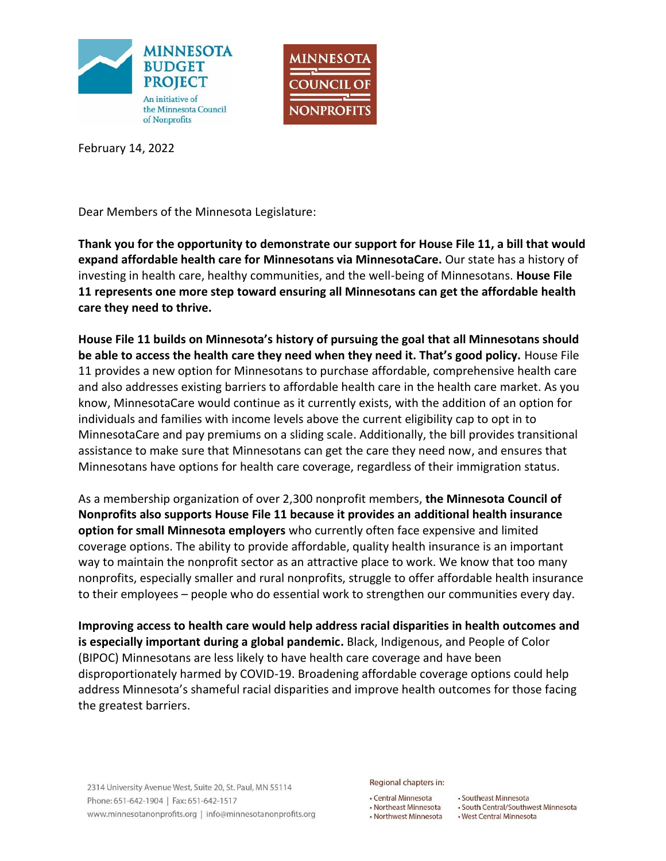



February 14, 2022

Dear Members of the Minnesota Legislature:

**Thank you for the opportunity to demonstrate our support for House File 11, a bill that would expand affordable health care for Minnesotans via MinnesotaCare.** Our state has a history of investing in health care, healthy communities, and the well-being of Minnesotans. **House File 11 represents one more step toward ensuring all Minnesotans can get the affordable health care they need to thrive.**

**House File 11 builds on Minnesota's history of pursuing the goal that all Minnesotans should be able to access the health care they need when they need it. That's good policy.** House File 11 provides a new option for Minnesotans to purchase affordable, comprehensive health care and also addresses existing barriers to affordable health care in the health care market. As you know, MinnesotaCare would continue as it currently exists, with the addition of an option for individuals and families with income levels above the current eligibility cap to opt in to MinnesotaCare and pay premiums on a sliding scale. Additionally, the bill provides transitional assistance to make sure that Minnesotans can get the care they need now, and ensures that Minnesotans have options for health care coverage, regardless of their immigration status.

As a membership organization of over 2,300 nonprofit members, **the Minnesota Council of Nonprofits also supports House File 11 because it provides an additional health insurance option for small Minnesota employers** who currently often face expensive and limited coverage options. The ability to provide affordable, quality health insurance is an important way to maintain the nonprofit sector as an attractive place to work. We know that too many nonprofits, especially smaller and rural nonprofits, struggle to offer affordable health insurance to their employees – people who do essential work to strengthen our communities every day.

**Improving access to health care would help address racial disparities in health outcomes and is especially important during a global pandemic.** Black, Indigenous, and People of Color (BIPOC) Minnesotans are less likely to have health care coverage and have been disproportionately harmed by COVID-19. Broadening affordable coverage options could help address Minnesota's shameful racial disparities and improve health outcomes for those facing the greatest barriers.

2314 University Avenue West, Suite 20, St. Paul, MN 55114 Phone: 651-642-1904 | Fax: 651-642-1517 www.minnesotanonprofits.org | info@minnesotanonprofits.org Regional chapters in:

• Central Minnesota • Northeast Minnesota • Northwest Minnesota

· Southeast Minnesota • South Central/Southwest Minnesota . West Central Minnesota